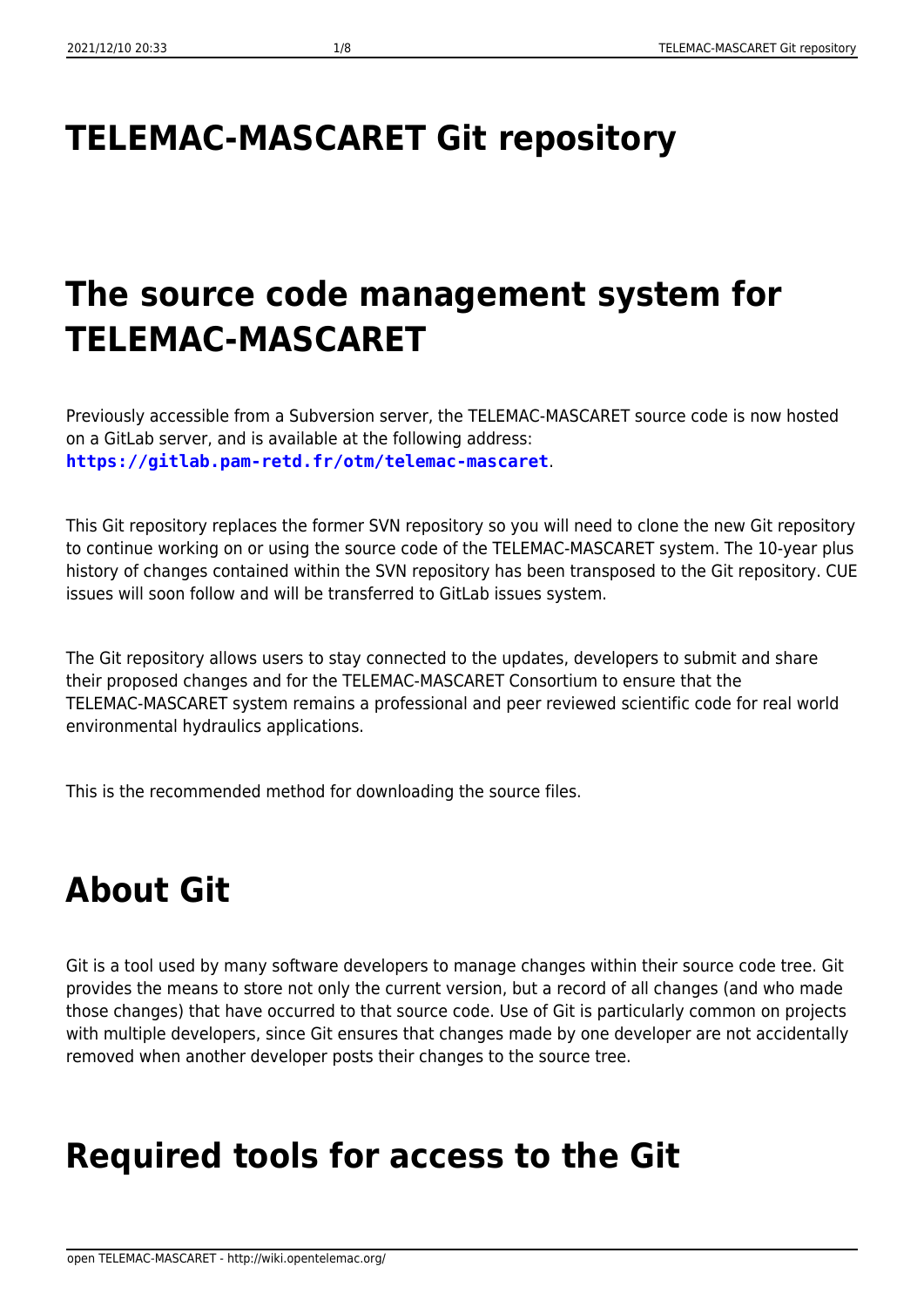# **TELEMAC-MASCARET Git repository**

## **The source code management system for TELEMAC-MASCARET**

Previously accessible from a Subversion server, the TELEMAC-MASCARET source code is now hosted on a GitLab server, and is available at the following address: **<https://gitlab.pam-retd.fr/otm/telemac-mascaret>**.

This Git repository replaces the former SVN repository so you will need to clone the new Git repository to continue working on or using the source code of the TELEMAC-MASCARET system. The 10-year plus history of changes contained within the SVN repository has been transposed to the Git repository. CUE issues will soon follow and will be transferred to GitLab issues system.

The Git repository allows users to stay connected to the updates, developers to submit and share their proposed changes and for the TELEMAC-MASCARET Consortium to ensure that the TELEMAC-MASCARET system remains a professional and peer reviewed scientific code for real world environmental hydraulics applications.

This is the recommended method for downloading the source files.

# **About Git**

Git is a tool used by many software developers to manage changes within their source code tree. Git provides the means to store not only the current version, but a record of all changes (and who made those changes) that have occurred to that source code. Use of Git is particularly common on projects with multiple developers, since Git ensures that changes made by one developer are not accidentally removed when another developer posts their changes to the source tree.

## **Required tools for access to the Git**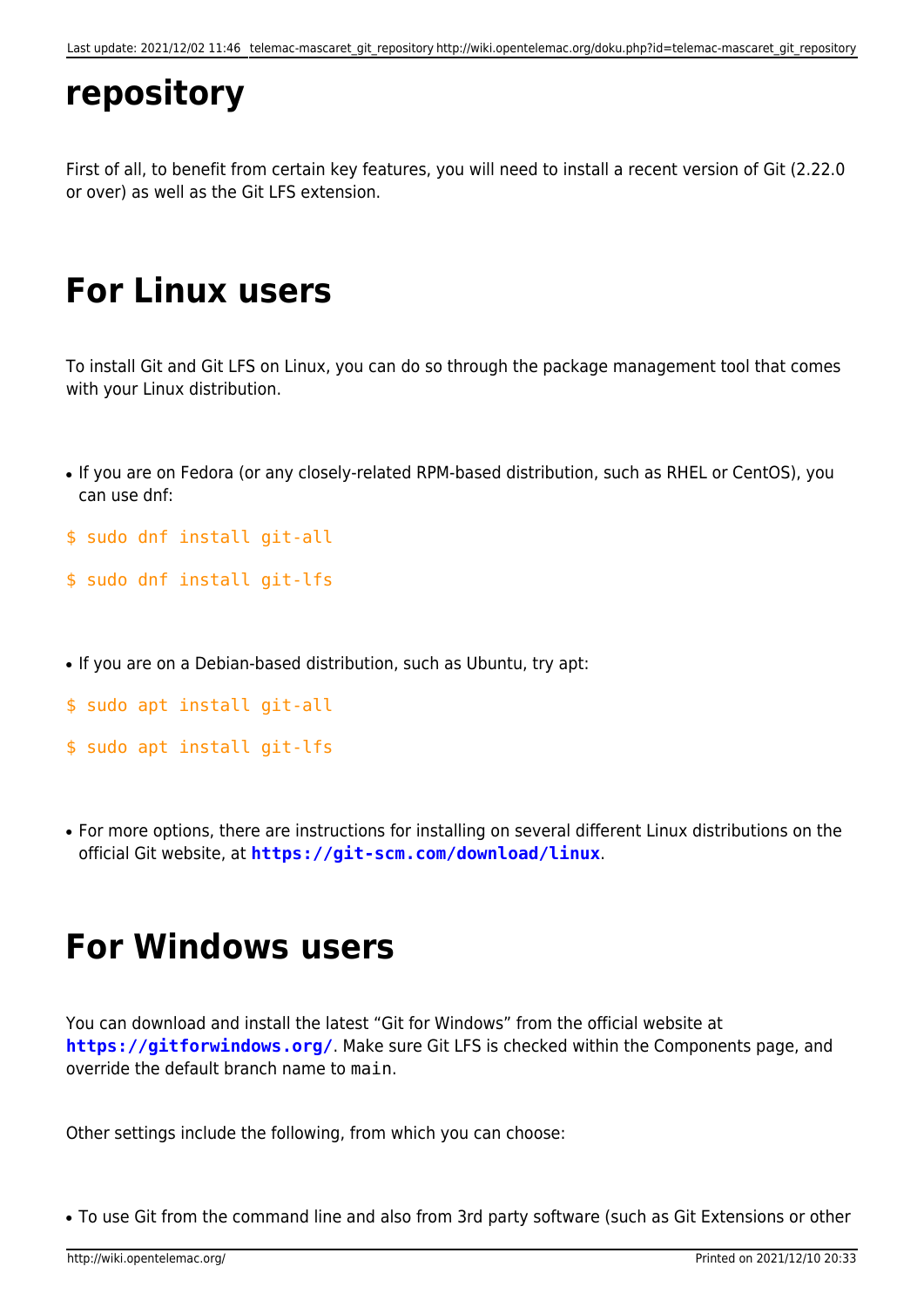## **repository**

First of all, to benefit from certain key features, you will need to install a recent version of Git (2.22.0 or over) as well as the Git LFS extension.

## **For Linux users**

To install Git and Git LFS on Linux, you can do so through the package management tool that comes with your Linux distribution.

- If you are on Fedora (or any closely-related RPM-based distribution, such as RHEL or CentOS), you can use dnf:
- \$ sudo dnf install git-all
- \$ sudo dnf install git-lfs
- If you are on a Debian-based distribution, such as Ubuntu, try apt:
- \$ sudo apt install git-all
- \$ sudo apt install git-lfs
- For more options, there are instructions for installing on several different Linux distributions on the official Git website, at **<https://git-scm.com/download/linux>**.

#### **For Windows users**

You can download and install the latest "Git for Windows" from the official website at **<https://gitforwindows.org/>**. Make sure Git LFS is checked within the Components page, and override the default branch name to main.

Other settings include the following, from which you can choose:

• To use Git from the command line and also from 3rd party software (such as Git Extensions or other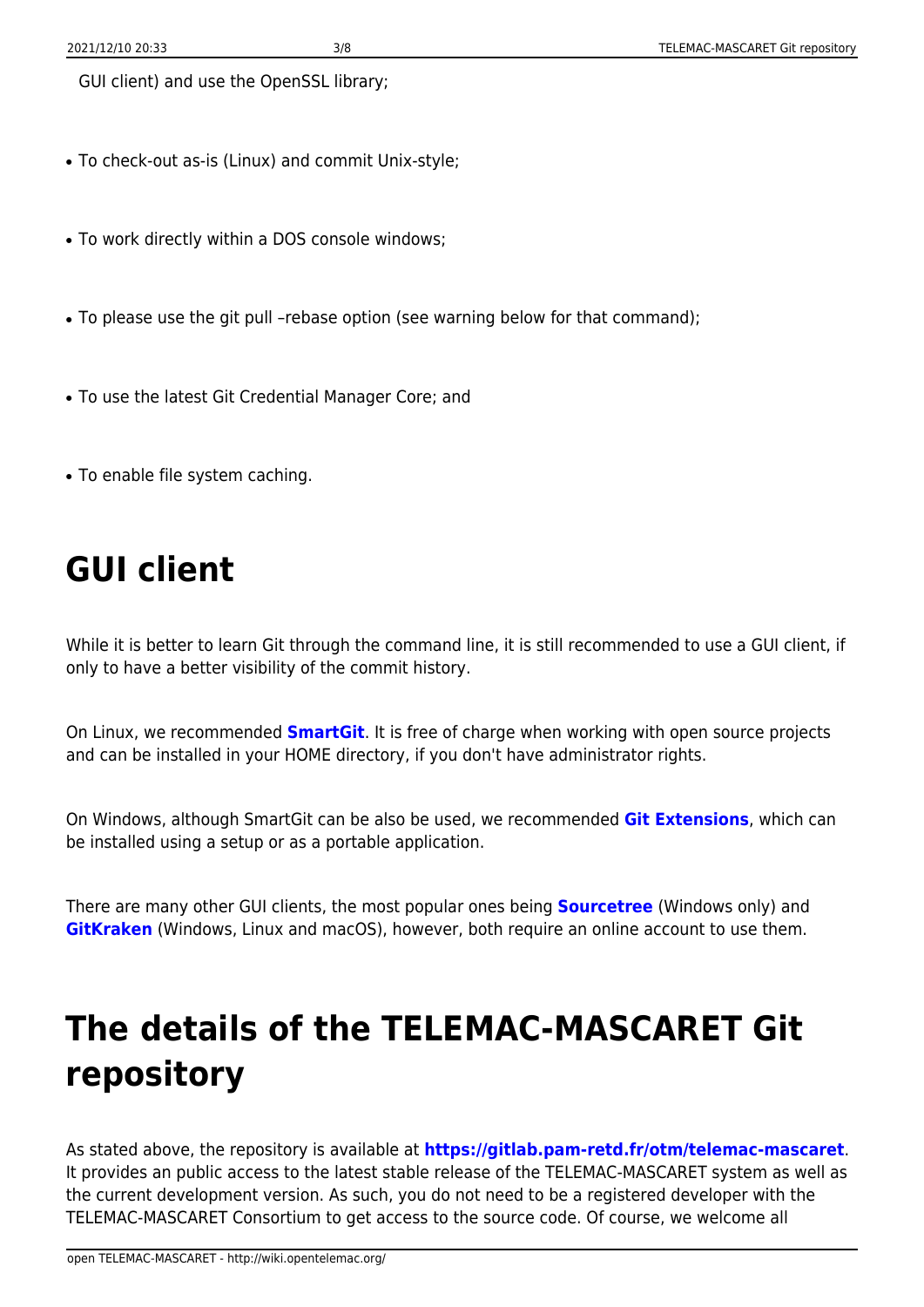GUI client) and use the OpenSSL library;

- To check-out as-is (Linux) and commit Unix-style;
- To work directly within a DOS console windows;
- To please use the git pull -rebase option (see warning below for that command);
- To use the latest Git Credential Manager Core; and
- To enable file system caching.

## **GUI client**

While it is better to learn Git through the command line, it is still recommended to use a GUI client, if only to have a better visibility of the commit history.

On Linux, we recommended **[SmartGit](https://www.syntevo.com/smartgit/)**. It is free of charge when working with open source projects and can be installed in your HOME directory, if you don't have administrator rights.

On Windows, although SmartGit can be also be used, we recommended **[Git Extensions](https://gitextensions.github.io/)**, which can be installed using a setup or as a portable application.

There are many other GUI clients, the most popular ones being **[Sourcetree](https://www.sourcetreeapp.com/)** (Windows only) and **[GitKraken](https://www.gitkraken.com/)** (Windows, Linux and macOS), however, both require an online account to use them.

## **The details of the TELEMAC-MASCARET Git repository**

As stated above, the repository is available at **<https://gitlab.pam-retd.fr/otm/telemac-mascaret>**. It provides an public access to the latest stable release of the TELEMAC-MASCARET system as well as the current development version. As such, you do not need to be a registered developer with the TELEMAC-MASCARET Consortium to get access to the source code. Of course, we welcome all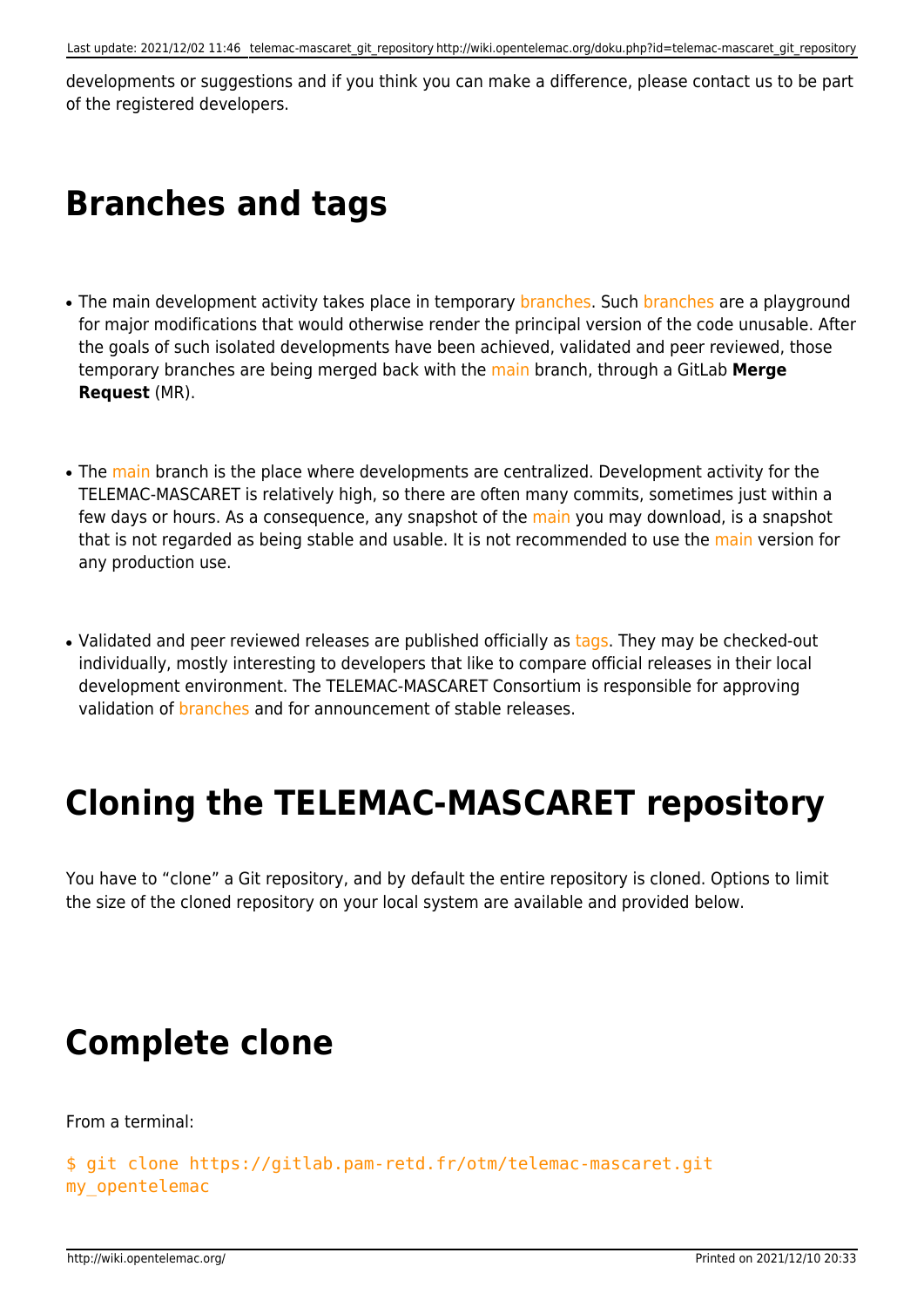developments or suggestions and if you think you can make a difference, please contact us to be part of the registered developers.

#### **Branches and tags**

- The main development activity takes place in temporary branches. Such branches are a playground for major modifications that would otherwise render the principal version of the code unusable. After the goals of such isolated developments have been achieved, validated and peer reviewed, those temporary branches are being merged back with the main branch, through a GitLab **Merge Request** (MR).
- The main branch is the place where developments are centralized. Development activity for the TELEMAC-MASCARET is relatively high, so there are often many commits, sometimes just within a few days or hours. As a consequence, any snapshot of the main you may download, is a snapshot that is not regarded as being stable and usable. It is not recommended to use the main version for any production use.
- Validated and peer reviewed releases are published officially as tags. They may be checked-out individually, mostly interesting to developers that like to compare official releases in their local development environment. The TELEMAC-MASCARET Consortium is responsible for approving validation of branches and for announcement of stable releases.

#### **Cloning the TELEMAC-MASCARET repository**

You have to "clone" a Git repository, and by default the entire repository is cloned. Options to limit the size of the cloned repository on your local system are available and provided below.

#### **Complete clone**

From a terminal:

```
$ git clone https://gitlab.pam-retd.fr/otm/telemac-mascaret.git
my_opentelemac
```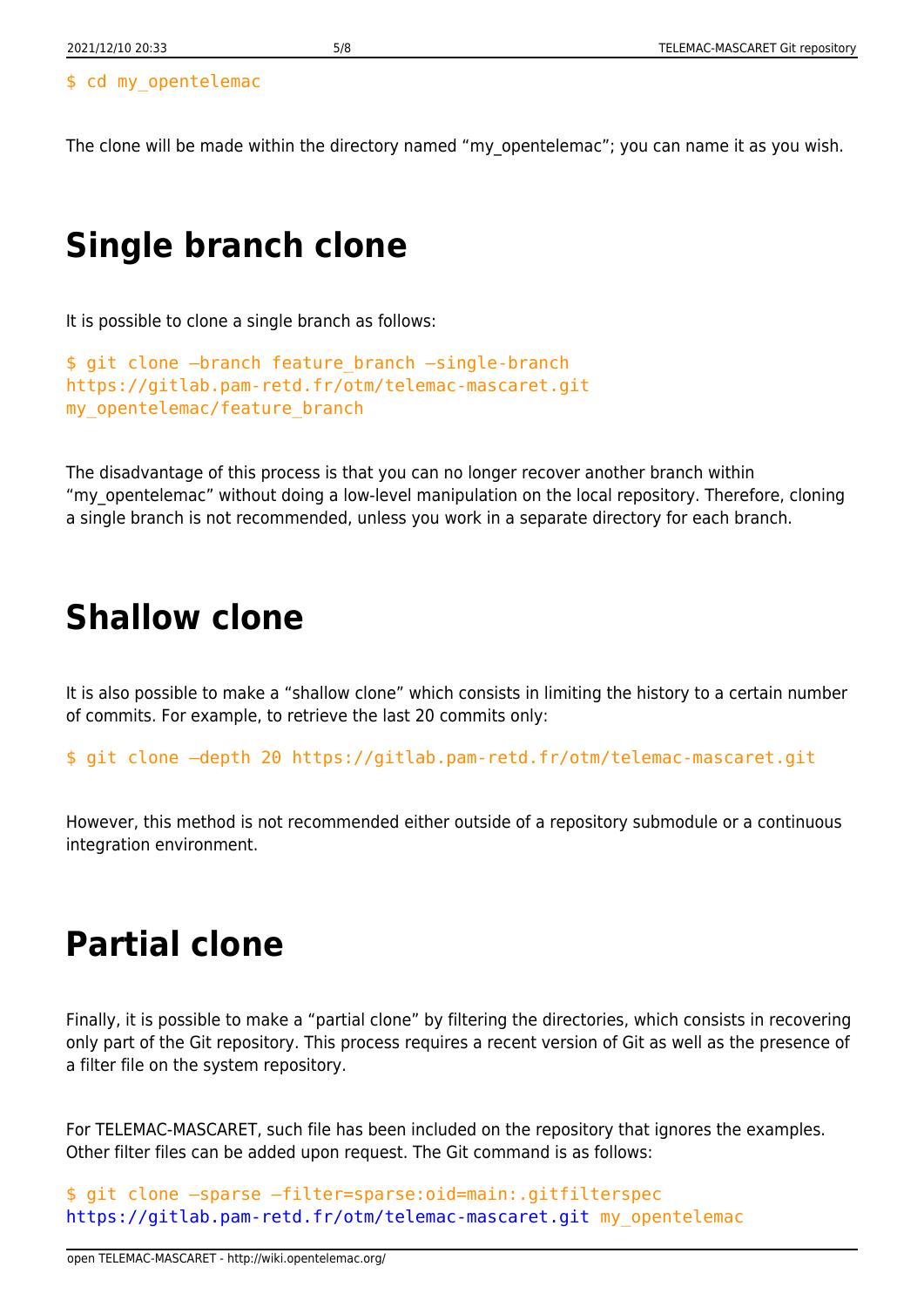#### \$ cd my\_opentelemac

The clone will be made within the directory named "my\_opentelemac"; you can name it as you wish.

## **Single branch clone**

It is possible to clone a single branch as follows:

```
$ git clone –branch feature_branch –single-branch
https://gitlab.pam-retd.fr/otm/telemac-mascaret.git
my opentelemac/feature branch
```
The disadvantage of this process is that you can no longer recover another branch within "my opentelemac" without doing a low-level manipulation on the local repository. Therefore, cloning a single branch is not recommended, unless you work in a separate directory for each branch.

#### **Shallow clone**

It is also possible to make a "shallow clone" which consists in limiting the history to a certain number of commits. For example, to retrieve the last 20 commits only:

\$ git clone –depth 20 https://gitlab.pam-retd.fr/otm/telemac-mascaret.git

However, this method is not recommended either outside of a repository submodule or a continuous integration environment.

#### **Partial clone**

Finally, it is possible to make a "partial clone" by filtering the directories, which consists in recovering only part of the Git repository. This process requires a recent version of Git as well as the presence of a filter file on the system repository.

For TELEMAC-MASCARET, such file has been included on the repository that ignores the examples. Other filter files can be added upon request. The Git command is as follows:

```
$ git clone –sparse –filter=sparse:oid=main:.gitfilterspec
https://gitlab.pam-retd.fr/otm/telemac-mascaret.git my_opentelemac
```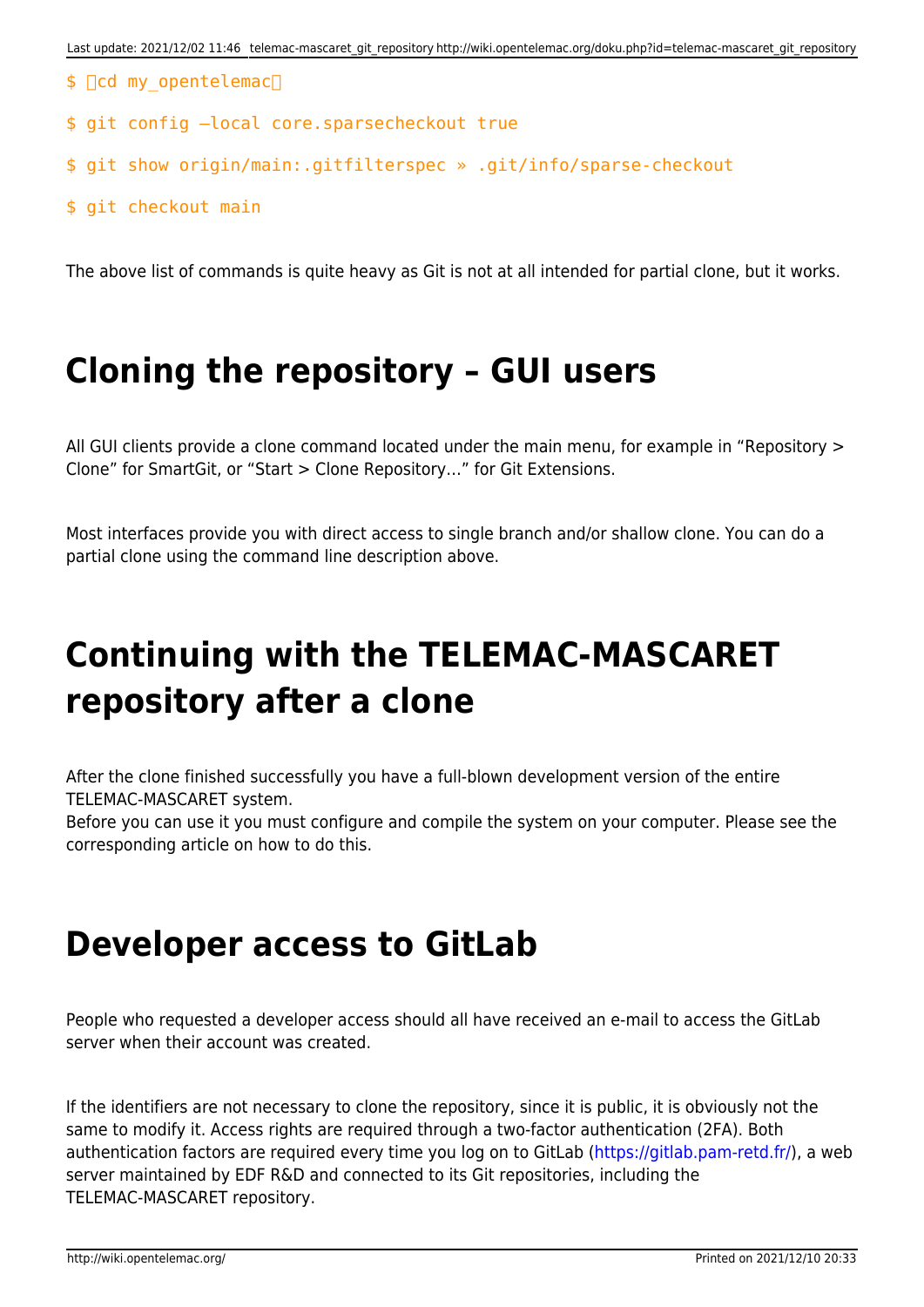- $$$   $\Box$ cd my opentelemac $\Box$
- \$ git config –local core.sparsecheckout true
- \$ git show origin/main:.gitfilterspec » .git/info/sparse-checkout
- \$ git checkout main

The above list of commands is quite heavy as Git is not at all intended for partial clone, but it works.

#### **Cloning the repository – GUI users**

All GUI clients provide a clone command located under the main menu, for example in "Repository > Clone" for SmartGit, or "Start > Clone Repository…" for Git Extensions.

Most interfaces provide you with direct access to single branch and/or shallow clone. You can do a partial clone using the command line description above.

## **Continuing with the TELEMAC-MASCARET repository after a clone**

After the clone finished successfully you have a full-blown development version of the entire TELEMAC-MASCARET system.

Before you can use it you must configure and compile the system on your computer. Please see the corresponding article on how to do this.

#### **Developer access to GitLab**

People who requested a developer access should all have received an e-mail to access the GitLab server when their account was created.

If the identifiers are not necessary to clone the repository, since it is public, it is obviously not the same to modify it. Access rights are required through a two-factor authentication (2FA). Both authentication factors are required every time you log on to GitLab [\(https://gitlab.pam-retd.fr/\)](https://gitlab.pam-retd.fr/), a web server maintained by EDF R&D and connected to its Git repositories, including the TELEMAC-MASCARET repository.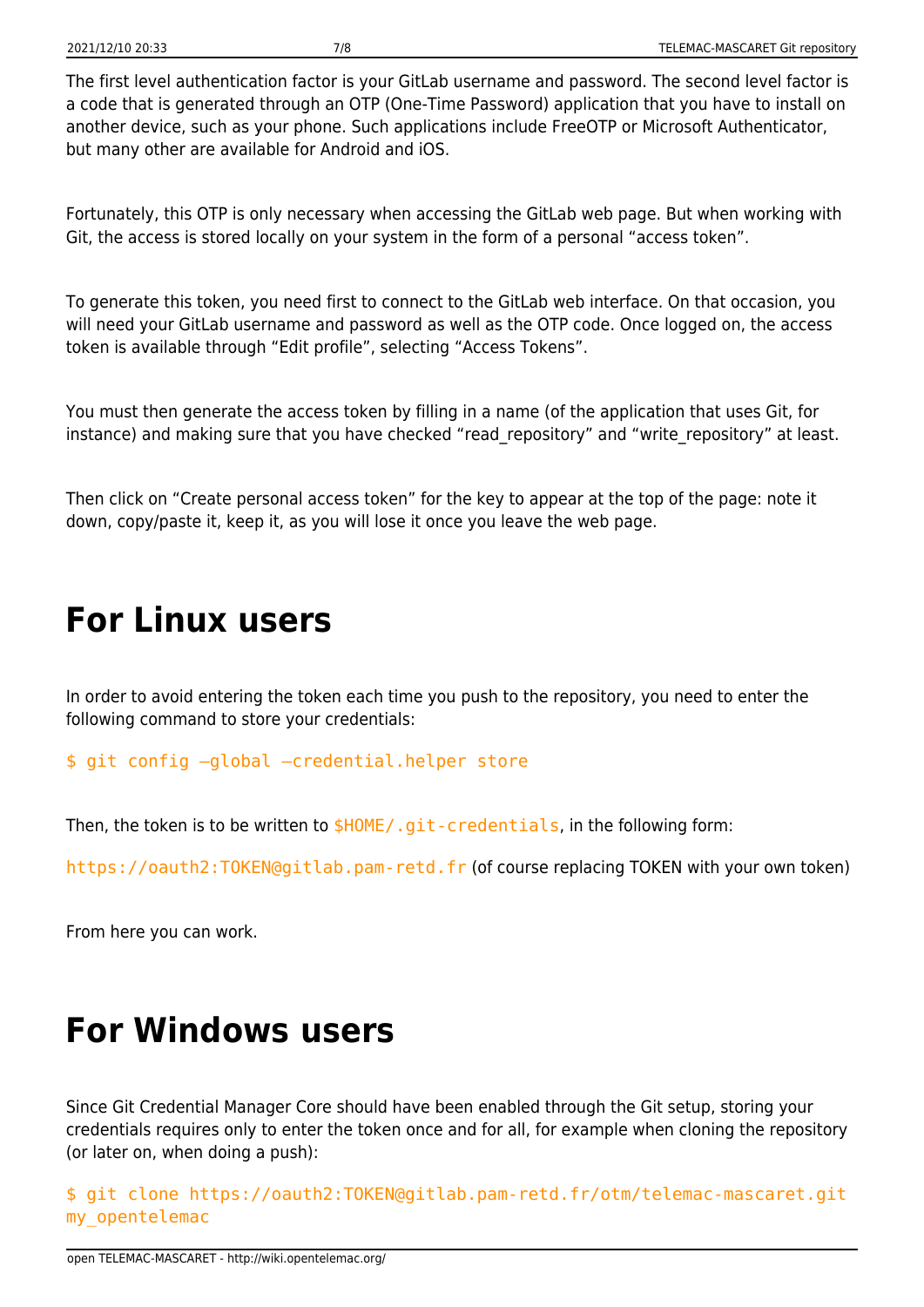The first level authentication factor is your GitLab username and password. The second level factor is a code that is generated through an OTP (One-Time Password) application that you have to install on another device, such as your phone. Such applications include FreeOTP or Microsoft Authenticator, but many other are available for Android and iOS.

Fortunately, this OTP is only necessary when accessing the GitLab web page. But when working with Git, the access is stored locally on your system in the form of a personal "access token".

To generate this token, you need first to connect to the GitLab web interface. On that occasion, you will need your GitLab username and password as well as the OTP code. Once logged on, the access token is available through "Edit profile", selecting "Access Tokens".

You must then generate the access token by filling in a name (of the application that uses Git, for instance) and making sure that you have checked "read repository" and "write repository" at least.

Then click on "Create personal access token" for the key to appear at the top of the page: note it down, copy/paste it, keep it, as you will lose it once you leave the web page.

#### **For Linux users**

In order to avoid entering the token each time you push to the repository, you need to enter the following command to store your credentials:

\$ git config –global –credential.helper store

Then, the token is to be written to  $$HOME/$ .git-credentials, in the following form:

https://oauth2:TOKEN@gitlab.pam-retd.fr (of course replacing TOKEN with your own token)

From here you can work.

#### **For Windows users**

Since Git Credential Manager Core should have been enabled through the Git setup, storing your credentials requires only to enter the token once and for all, for example when cloning the repository (or later on, when doing a push):

\$ git clone https://oauth2:TOKEN@gitlab.pam-retd.fr/otm/telemac-mascaret.git my\_opentelemac